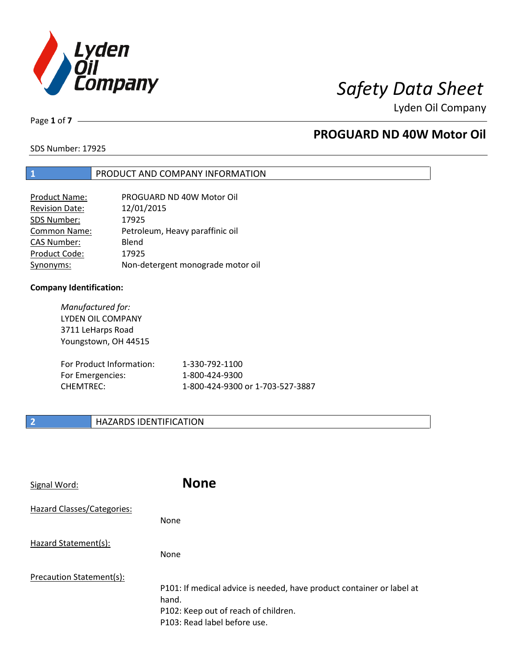

Page **1** of **7**

# **PROGUARD ND 40W Motor Oil**

SDS Number: 17925

### **1** PRODUCT AND COMPANY INFORMATION

| Product Name:         | PROGUARD ND 40W Motor Oil         |
|-----------------------|-----------------------------------|
| <b>Revision Date:</b> | 12/01/2015                        |
| SDS Number:           | 17925                             |
| <b>Common Name:</b>   | Petroleum, Heavy paraffinic oil   |
| <b>CAS Number:</b>    | Blend                             |
| Product Code:         | 17925                             |
| Synonyms:             | Non-detergent monograde motor oil |

### **Company Identification:**

*Manufactured for:* LYDEN OIL COMPANY 3711 LeHarps Road Youngstown, OH 44515 For Product Information: 1-330-792-1100 For Emergencies: 1-800-424-9300 CHEMTREC: 1-800-424-9300 or 1-703-527-3887

### **2 HAZARDS IDENTIFICATION**

| Signal Word:               | <b>None</b>                                                                                                                                            |
|----------------------------|--------------------------------------------------------------------------------------------------------------------------------------------------------|
| Hazard Classes/Categories: | <b>None</b>                                                                                                                                            |
| Hazard Statement(s):       | <b>None</b>                                                                                                                                            |
| Precaution Statement(s):   | P101: If medical advice is needed, have product container or label at<br>hand.<br>P102: Keep out of reach of children.<br>P103: Read label before use. |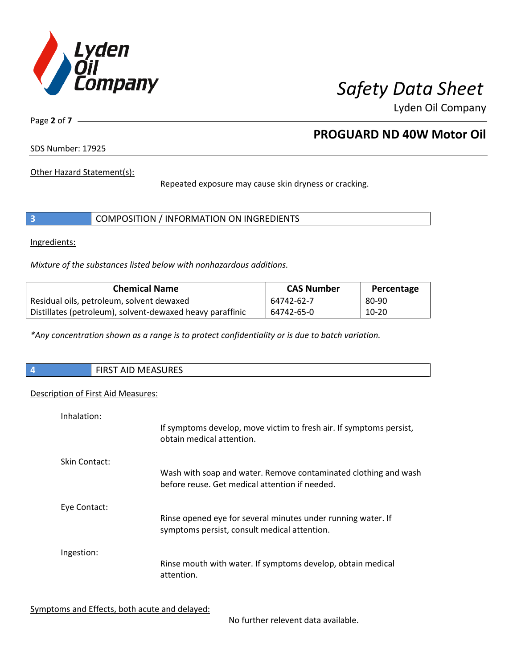

Page **2** of **7**

# **PROGUARD ND 40W Motor Oil**

SDS Number: 17925

Other Hazard Statement(s):

Repeated exposure may cause skin dryness or cracking.

|  | COMPOSITION / INFORMATION ON INGREDIENTS |
|--|------------------------------------------|
|--|------------------------------------------|

Ingredients:

*Mixture of the substances listed below with nonhazardous additions.*

| <b>Chemical Name</b>                                      | <b>CAS Number</b> | Percentage |
|-----------------------------------------------------------|-------------------|------------|
| Residual oils, petroleum, solvent dewaxed                 | 64742-62-7        | 80-90      |
| Distillates (petroleum), solvent-dewaxed heavy paraffinic | 64742-65-0        | 10-20      |

*\*Any concentration shown as a range is to protect confidentiality or is due to batch variation.*

| $\overline{\phantom{a}}$ | RST AID MEASURES<br>כחו־ |
|--------------------------|--------------------------|
|                          |                          |

### Description of First Aid Measures:

| Inhalation:   | If symptoms develop, move victim to fresh air. If symptoms persist,<br>obtain medical attention.                  |
|---------------|-------------------------------------------------------------------------------------------------------------------|
| Skin Contact: | Wash with soap and water. Remove contaminated clothing and wash<br>before reuse. Get medical attention if needed. |
| Eye Contact:  | Rinse opened eye for several minutes under running water. If<br>symptoms persist, consult medical attention.      |
| Ingestion:    | Rinse mouth with water. If symptoms develop, obtain medical<br>attention.                                         |

Symptoms and Effects, both acute and delayed:

No further relevent data available.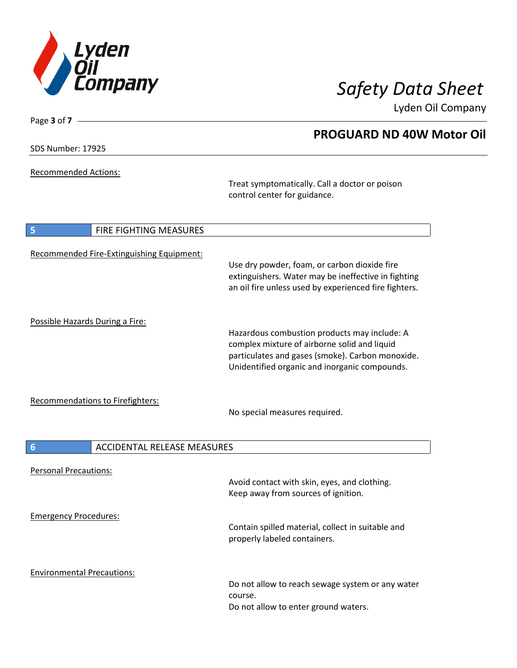

**PROGUARD ND 40W Motor Oil**

Lyden Oil Company

SDS Number: 17925

Page **3** of **7**

Recommended Actions:

Treat symptomatically. Call a doctor or poison control center for guidance.

| 5                                       | <b>FIRE FIGHTING MEASURES</b>             |                                                                                                                                                                                                   |
|-----------------------------------------|-------------------------------------------|---------------------------------------------------------------------------------------------------------------------------------------------------------------------------------------------------|
|                                         | Recommended Fire-Extinguishing Equipment: | Use dry powder, foam, or carbon dioxide fire<br>extinguishers. Water may be ineffective in fighting<br>an oil fire unless used by experienced fire fighters.                                      |
| Possible Hazards During a Fire:         |                                           | Hazardous combustion products may include: A<br>complex mixture of airborne solid and liquid<br>particulates and gases (smoke). Carbon monoxide.<br>Unidentified organic and inorganic compounds. |
| <b>Recommendations to Firefighters:</b> |                                           | No special measures required.                                                                                                                                                                     |
| 6                                       | <b>ACCIDENTAL RELEASE MEASURES</b>        |                                                                                                                                                                                                   |
| <b>Personal Precautions:</b>            |                                           | Avoid contact with skin, eyes, and clothing.<br>Keep away from sources of ignition.                                                                                                               |
| <b>Emergency Procedures:</b>            |                                           | Contain spilled material, collect in suitable and<br>properly labeled containers.                                                                                                                 |
| <b>Environmental Precautions:</b>       |                                           | Do not allow to reach sewage system or any water<br>course.<br>Do not allow to enter ground waters.                                                                                               |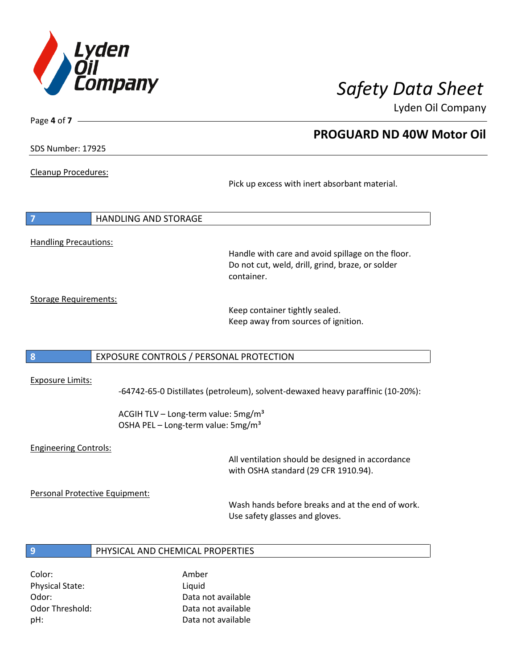

**PROGUARD ND 40W Motor Oil**

Lyden Oil Company

SDS Number: 17925

Page **4** of **7**

Cleanup Procedures:

Pick up excess with inert absorbant material.

**7** HANDLING AND STORAGE Handling Precautions:

Handle with care and avoid spillage on the floor. Do not cut, weld, drill, grind, braze, or solder container.

Storage Requirements:

Keep container tightly sealed. Keep away from sources of ignition.

### **8** EXPOSURE CONTROLS / PERSONAL PROTECTION

### Exposure Limits:

-64742-65-0 Distillates (petroleum), solvent-dewaxed heavy paraffinic (10-20%):

ACGIH TLV – Long-term value:  $5mg/m<sup>3</sup>$ OSHA PEL - Long-term value: 5mg/m<sup>3</sup>

### Engineering Controls:

All ventilation should be designed in accordance with OSHA standard (29 CFR 1910.94).

Personal Protective Equipment:

Wash hands before breaks and at the end of work. Use safety glasses and gloves.

### **9** PHYSICAL AND CHEMICAL PROPERTIES

Color: Amber Physical State: Liquid

Odor: Data not available Odor Threshold: Data not available pH: Data not available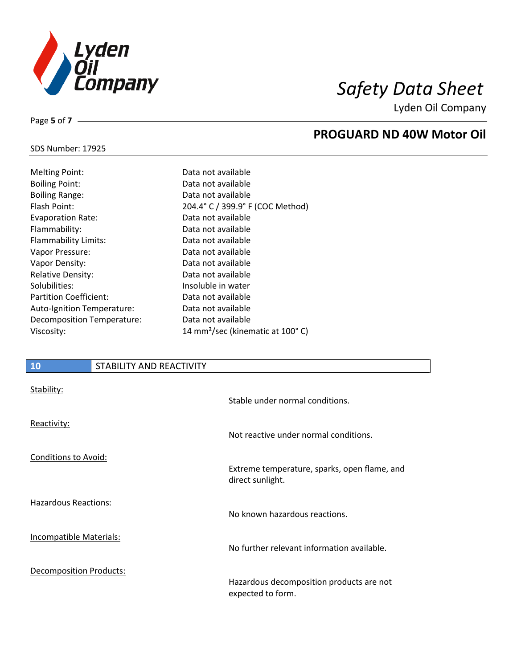

**PROGUARD ND 40W Motor Oil**

Lyden Oil Company

# SDS Number: 17925

Page **5** of **7**

| <b>Melting Point:</b>         | Data no           |
|-------------------------------|-------------------|
| <b>Boiling Point:</b>         | Data no           |
| <b>Boiling Range:</b>         | Data no           |
| Flash Point:                  | $204.4^{\circ}$ C |
| <b>Evaporation Rate:</b>      | Data no           |
| Flammability:                 | Data no           |
| Flammability Limits:          | Data no           |
| Vapor Pressure:               | Data no           |
| Vapor Density:                | Data no           |
| <b>Relative Density:</b>      | Data no           |
| Solubilities:                 | Insoluble         |
| <b>Partition Coefficient:</b> | Data no           |
| Auto-Ignition Temperature:    | Data no           |
| Decomposition Temperature:    | Data no           |
| Viscosity:                    | $14 \text{ mm}^2$ |

### t available t available t available  $E/399.9°$  F (COC Method) t available t available t available t available t available t available le in water t available t available t available  $\gamma$ sec (kinematic at 100°C)

### **10** STABILITY AND REACTIVITY

| Stability:                     | Stable under normal conditions.                                  |
|--------------------------------|------------------------------------------------------------------|
| Reactivity:                    | Not reactive under normal conditions.                            |
| <b>Conditions to Avoid:</b>    |                                                                  |
|                                | Extreme temperature, sparks, open flame, and<br>direct sunlight. |
| Hazardous Reactions:           | No known hazardous reactions.                                    |
|                                |                                                                  |
| Incompatible Materials:        | No further relevant information available.                       |
| <b>Decomposition Products:</b> |                                                                  |
|                                | Hazardous decomposition products are not<br>expected to form.    |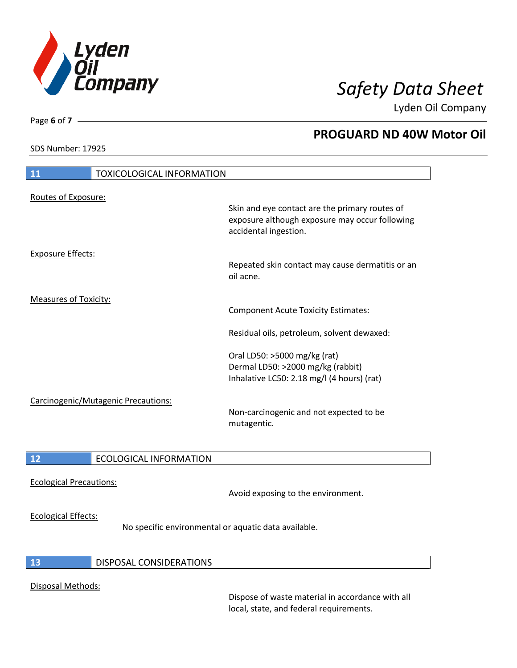

SDS Number: 17925

Page **6** of **7**

# **PROGUARD ND 40W Motor Oil**

| 11                           | <b>TOXICOLOGICAL INFORMATION</b>    |                                                                                                                                           |
|------------------------------|-------------------------------------|-------------------------------------------------------------------------------------------------------------------------------------------|
| Routes of Exposure:          |                                     | Skin and eye contact are the primary routes of<br>exposure although exposure may occur following<br>accidental ingestion.                 |
| <b>Exposure Effects:</b>     |                                     | Repeated skin contact may cause dermatitis or an<br>oil acne.                                                                             |
| <b>Measures of Toxicity:</b> |                                     | <b>Component Acute Toxicity Estimates:</b><br>Residual oils, petroleum, solvent dewaxed:<br>Oral LD50: >5000 mg/kg (rat)                  |
|                              | Carcinogenic/Mutagenic Precautions: | Dermal LD50: >2000 mg/kg (rabbit)<br>Inhalative LC50: 2.18 mg/l (4 hours) (rat)<br>Non-carcinogenic and not expected to be<br>mutagentic. |
| 12                           | <b>ECOLOGICAL INFORMATION</b>       |                                                                                                                                           |

Ecological Precautions:

Avoid exposing to the environment.

### Ecological Effects:

No specific environmental or aquatic data available.

### **13** DISPOSAL CONSIDERATIONS

### Disposal Methods:

Dispose of waste material in accordance with all local, state, and federal requirements.